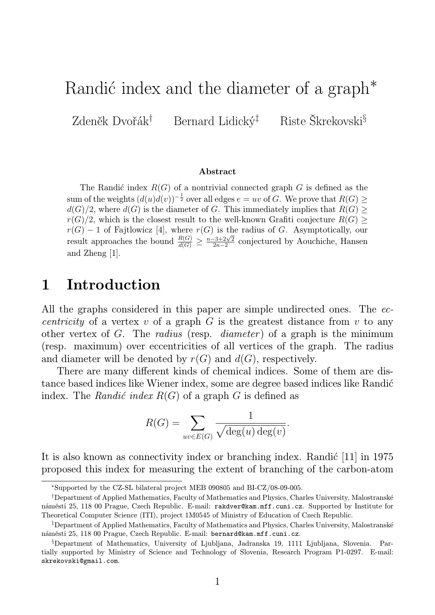# Randić index and the diameter of a graph<sup>\*</sup>

Zdeněk Dvořák<sup>†</sup> Bernard Lidický<sup>‡</sup> Riste Škrekovski<sup>§</sup>

#### Abstract

The Randić index  $R(G)$  of a nontrivial connected graph G is defined as the sum of the weights  $(d(u)d(v))^{-\frac{1}{2}}$  over all edges  $e = uv$  of G. We prove that  $R(G) \ge$  $d(G)/2$ , where  $d(G)$  is the diameter of G. This immediately implies that  $R(G) \geq$  $r(G)/2$ , which is the closest result to the well-known Grafiti conjecture  $R(G)$  $r(G) - 1$  of Fajtlowicz [4], where  $r(G)$  is the radius of G. Asymptotically, our result approaches the bound  $\frac{R(G)}{d(G)} \geq \frac{n-3+2\sqrt{2}}{2n-2}$  $\frac{2-3+2\sqrt{2}}{2n-2}$  conjectured by Aouchiche, Hansen and Zheng [1].

# 1 Introduction

All the graphs considered in this paper are simple undirected ones. The ec*centricity* of a vertex v of a graph  $G$  is the greatest distance from v to any other vertex of G. The *radius* (resp. *diameter*) of a graph is the minimum (resp. maximum) over eccentricities of all vertices of the graph. The radius and diameter will be denoted by  $r(G)$  and  $d(G)$ , respectively.

There are many different kinds of chemical indices. Some of them are distance based indices like Wiener index, some are degree based indices like Randić index. The Randić index  $R(G)$  of a graph G is defined as

$$
R(G) = \sum_{uv \in E(G)} \frac{1}{\sqrt{\deg(u) \deg(v)}}.
$$

It is also known as connectivity index or branching index. Randic [11] in 1975 proposed this index for measuring the extent of branching of the carbon-atom

<sup>∗</sup>Supported by the CZ-SL bilateral project MEB 090805 and BI-CZ/08-09-005.

<sup>†</sup>Department of Applied Mathematics, Faculty of Mathematics and Physics, Charles University, Malostranské náměstí 25, 118 00 Prague, Czech Republic. E-mail: rakdver@kam.mff.cuni.cz. Supported by Institute for Theoretical Computer Science (ITI), project 1M0545 of Ministry of Education of Czech Republic.

<sup>‡</sup>Department of Applied Mathematics, Faculty of Mathematics and Physics, Charles University, Malostranské náměstí 25, 118 00 Prague, Czech Republic. E-mail: bernard@kam.mff.cuni.cz.

<sup>§</sup>Department of Mathematics, University of Ljubljana, Jadranska 19, 1111 Ljubljana, Slovenia. Partially supported by Ministry of Science and Technology of Slovenia, Research Program P1-0297. E-mail: skrekovski@gmail.com.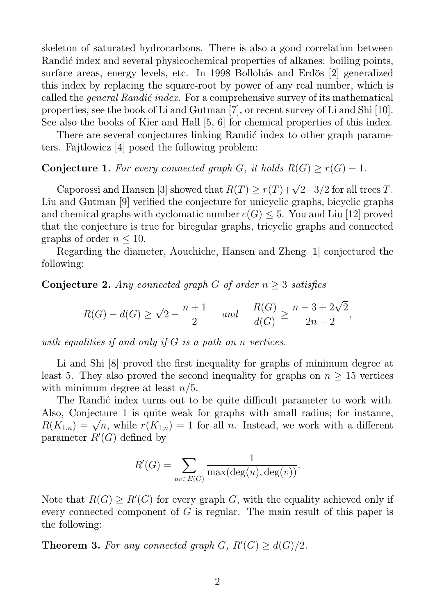skeleton of saturated hydrocarbons. There is also a good correlation between Randić index and several physicochemical properties of alkanes: boiling points, surface areas, energy levels, etc. In 1998 Bollobás and Erdös [2] generalized this index by replacing the square-root by power of any real number, which is called the *general Randić index*. For a comprehensive survey of its mathematical properties, see the book of Li and Gutman [7], or recent survey of Li and Shi [10]. See also the books of Kier and Hall [5, 6] for chemical properties of this index.

There are several conjectures linking Randić index to other graph parameters. Fajtlowicz [4] posed the following problem:

### Conjecture 1. For every connected graph G, it holds  $R(G) \geq r(G) - 1$ .

Caporossi and Hansen [3] showed that  $R(T) \ge r(T) + \sqrt{2} - 3/2$  for all trees T. Liu and Gutman [9] verified the conjecture for unicyclic graphs, bicyclic graphs and chemical graphs with cyclomatic number  $c(G) \leq 5$ . You and Liu [12] proved that the conjecture is true for biregular graphs, tricyclic graphs and connected graphs of order  $n \leq 10$ .

Regarding the diameter, Aouchiche, Hansen and Zheng [1] conjectured the following:

**Conjecture 2.** Any connected graph G of order  $n \geq 3$  satisfies

$$
R(G) - d(G) \ge \sqrt{2} - \frac{n+1}{2} \quad \text{and} \quad \frac{R(G)}{d(G)} \ge \frac{n-3+2\sqrt{2}}{2n-2},
$$

with equalities if and only if G is a path on n vertices.

Li and Shi [8] proved the first inequality for graphs of minimum degree at least 5. They also proved the second inequality for graphs on  $n \geq 15$  vertices with minimum degree at least  $n/5$ .

The Randic index turns out to be quite difficult parameter to work with. Also, Conjecture 1 is quite weak for graphs with small radius; for instance,  $R(K_{1,n}) = \sqrt{n}$ , while  $r(K_{1,n}) = 1$  for all n. Instead, we work with a different parameter  $R'(G)$  defined by

$$
R'(G) = \sum_{uv \in E(G)} \frac{1}{\max(\deg(u), \deg(v))}.
$$

Note that  $R(G) \ge R'(G)$  for every graph G, with the equality achieved only if every connected component of G is regular. The main result of this paper is the following:

**Theorem 3.** For any connected graph  $G$ ,  $R'(G) \geq d(G)/2$ .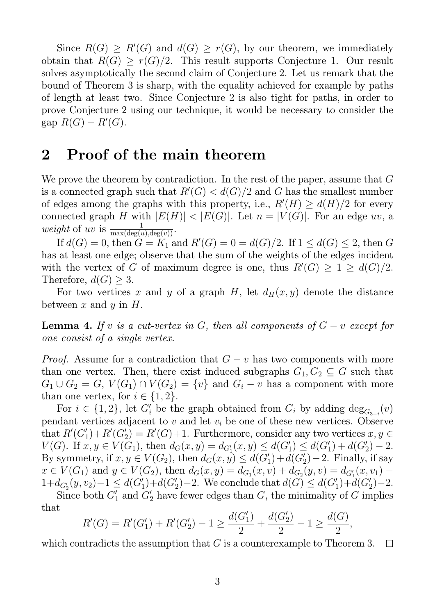Since  $R(G) \ge R'(G)$  and  $d(G) \ge r(G)$ , by our theorem, we immediately obtain that  $R(G) > r(G)/2$ . This result supports Conjecture 1. Our result solves asymptotically the second claim of Conjecture 2. Let us remark that the bound of Theorem 3 is sharp, with the equality achieved for example by paths of length at least two. Since Conjecture 2 is also tight for paths, in order to prove Conjecture 2 using our technique, it would be necessary to consider the gap  $R(G) - R'(G)$ .

## 2 Proof of the main theorem

We prove the theorem by contradiction. In the rest of the paper, assume that G is a connected graph such that  $R'(G) < d(G)/2$  and G has the smallest number of edges among the graphs with this property, i.e.,  $R'(H) \geq d(H)/2$  for every connected graph H with  $|E(H)| < |E(G)|$ . Let  $n = |V(G)|$ . For an edge uv, a weight of uv is  $\frac{1}{\max(\deg(u), \deg(v))}$ .

If  $d(G) = 0$ , then  $G = K_1$  and  $R'(G) = 0 = d(G)/2$ . If  $1 \le d(G) \le 2$ , then G has at least one edge; observe that the sum of the weights of the edges incident with the vertex of G of maximum degree is one, thus  $R'(G) \geq 1 \geq d(G)/2$ . Therefore,  $d(G) \geq 3$ .

For two vertices x and y of a graph H, let  $d_H(x, y)$  denote the distance between x and y in  $H$ .

**Lemma 4.** If v is a cut-vertex in G, then all components of  $G - v$  except for one consist of a single vertex.

*Proof.* Assume for a contradiction that  $G - v$  has two components with more than one vertex. Then, there exist induced subgraphs  $G_1, G_2 \subseteq G$  such that  $G_1 \cup G_2 = G$ ,  $V(G_1) \cap V(G_2) = \{v\}$  and  $G_i - v$  has a component with more than one vertex, for  $i \in \{1, 2\}$ .

For  $i \in \{1,2\}$ , let  $G_i'$  be the graph obtained from  $G_i$  by adding  $\deg_{G_{3-i}}(v)$ pendant vertices adjacent to v and let  $v_i$  be one of these new vertices. Observe that  $R'(G_1')+R'(G_2')=R'(G)+1$ . Furthermore, consider any two vertices  $x, y \in$  $V(G)$ . If  $x, y \in V(G_1)$ , then  $d_G(x, y) = d_{G'_1}(x, y) \leq d(G'_1) \leq d(G'_1) + d(G'_2) - 2$ . By symmetry, if  $x, y \in V(G_2)$ , then  $d_G(x, y) \leq d(G'_1) + d(G'_2) - 2$ . Finally, if say  $x \in V(G_1)$  and  $y \in V(G_2)$ , then  $d_G(x, y) = d_{G_1}(x, v) + d_{G_2}(y, v) = d_{G'_1}(x, v_1) - d_{G'_2}(y, v)$  $1+d_{G'_2}(y,v_2)-1 \leq d(G'_1)+d(G'_2)-2.$  We conclude that  $d(G) \leq d(G'_1)+d(G'_2)-2.$ 

Since both  $G'_1$  and  $G'_2$  have fewer edges than  $G$ , the minimality of  $G$  implies that

$$
R'(G) = R'(G'_1) + R'(G'_2) - 1 \ge \frac{d(G'_1)}{2} + \frac{d(G'_2)}{2} - 1 \ge \frac{d(G)}{2},
$$

which contradicts the assumption that  $G$  is a counterexample to Theorem 3.  $\mathbb{R}^n$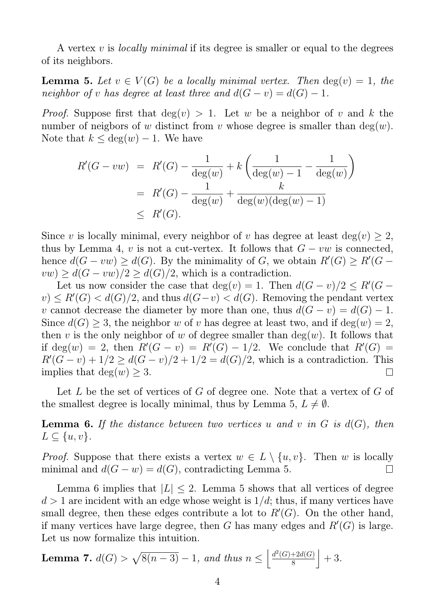A vertex  $v$  is *locally minimal* if its degree is smaller or equal to the degrees of its neighbors.

**Lemma 5.** Let  $v \in V(G)$  be a locally minimal vertex. Then  $deg(v) = 1$ , the neighbor of v has degree at least three and  $d(G - v) = d(G) - 1$ .

*Proof.* Suppose first that  $deg(v) > 1$ . Let w be a neighbor of v and k the number of neigbors of w distinct from v whose degree is smaller than  $deg(w)$ . Note that  $k \leq deg(w) - 1$ . We have

$$
R'(G - vw) = R'(G) - \frac{1}{\deg(w)} + k \left( \frac{1}{\deg(w) - 1} - \frac{1}{\deg(w)} \right)
$$
  
=  $R'(G) - \frac{1}{\deg(w)} + \frac{k}{\deg(w)(\deg(w) - 1)}$   
 $\leq R'(G).$ 

Since v is locally minimal, every neighbor of v has degree at least  $deg(v) \geq 2$ , thus by Lemma 4, v is not a cut-vertex. It follows that  $G - vw$  is connected, hence  $d(G - vw) \geq d(G)$ . By the minimality of G, we obtain  $R'(G) \geq R'(G$  $vw) \geq d(G - vw)/2 \geq d(G)/2$ , which is a contradiction.

Let us now consider the case that  $deg(v) = 1$ . Then  $d(G - v)/2 \le R'(G - v)/2$  $(v) \le R'(G) < d(G)/2$ , and thus  $d(G-v) < d(G)$ . Removing the pendant vertex v cannot decrease the diameter by more than one, thus  $d(G - v) = d(G) - 1$ . Since  $d(G) \geq 3$ , the neighbor w of v has degree at least two, and if  $deg(w) = 2$ , then v is the only neighbor of w of degree smaller than  $deg(w)$ . It follows that if deg(w) = 2, then  $R'(G - v) = R'(G) - 1/2$ . We conclude that  $R'(G) =$  $R'(G - v) + 1/2 \ge d(G - v)/2 + 1/2 = d(G)/2$ , which is a contradiction. This implies that deg $(w) \geq 3$ .

Let L be the set of vertices of G of degree one. Note that a vertex of G of the smallest degree is locally minimal, thus by Lemma 5,  $L \neq \emptyset$ .

**Lemma 6.** If the distance between two vertices u and v in G is  $d(G)$ , then  $L \subseteq \{u, v\}.$ 

*Proof.* Suppose that there exists a vertex  $w \in L \setminus \{u, v\}$ . Then w is locally minimal and  $d(G - w) = d(G)$  contradicting Lemma 5 minimal and  $d(G - w) = d(G)$ , contradicting Lemma 5.

Lemma 6 implies that  $|L| \leq 2$ . Lemma 5 shows that all vertices of degree  $d > 1$  are incident with an edge whose weight is  $1/d$ ; thus, if many vertices have small degree, then these edges contribute a lot to  $R'(G)$ . On the other hand, if many vertices have large degree, then G has many edges and  $R'(G)$  is large. Let us now formalize this intuition.

**Lemma 7.**  $d(G) > \sqrt{8(n-3)} - 1$ , and thus  $n \le \left| \frac{d^2(G) + 2d(G)}{8} \right|$ 8  $+3.$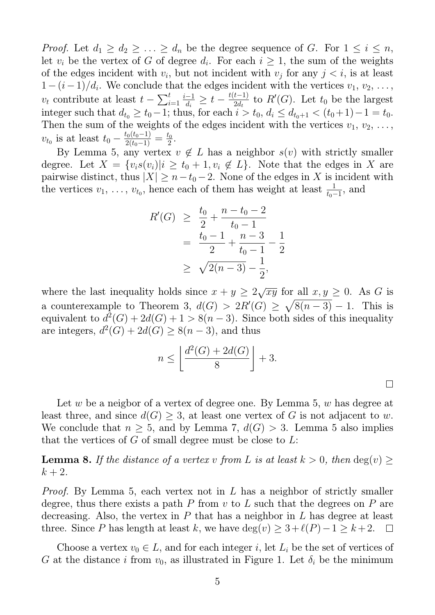*Proof.* Let  $d_1 \geq d_2 \geq \ldots \geq d_n$  be the degree sequence of G. For  $1 \leq i \leq n$ , let  $v_i$  be the vertex of G of degree  $d_i$ . For each  $i \geq 1$ , the sum of the weights of the edges incident with  $v_i$ , but not incident with  $v_j$  for any  $j < i$ , is at least  $1-(i-1)/d_i$ . We conclude that the edges incident with the vertices  $v_1, v_2, \ldots,$  $v_t$  contribute at least  $t - \sum_{i=1}^t \frac{i-1}{d_i}$  $\frac{-1}{d_i} \geq t - \frac{t(t-1)}{2d_t}$  $\frac{t-1}{2d_t}$  to  $R'(G)$ . Let  $t_0$  be the largest integer such that  $d_{t_0} \ge t_0 - 1$ ; thus, for each  $i > t_0$ ,  $d_i \le d_{t_0+1} < (t_0+1)-1 = t_0$ . Then the sum of the weights of the edges incident with the vertices  $v_1, v_2, \ldots$ ,  $v_{t_0}$  is at least  $t_0 - \frac{t_0(t_0-1)}{2(t_0-1)} = \frac{t_0}{2}$  $rac{t_0}{2}$ .

By Lemma 5, any vertex  $v \notin L$  has a neighbor  $s(v)$  with strictly smaller degree. Let  $X = \{v_i s(v_i) | i \ge t_0 + 1, v_i \notin L\}$ . Note that the edges in X are pairwise distinct, thus  $|X| \geq n-t_0-2$ . None of the edges in X is incident with the vertices  $v_1, \ldots, v_{t_0}$ , hence each of them has weight at least  $\frac{1}{t_0-1}$ , and

$$
R'(G) \geq \frac{t_0}{2} + \frac{n - t_0 - 2}{t_0 - 1}
$$
  
= 
$$
\frac{t_0 - 1}{2} + \frac{n - 3}{t_0 - 1} - \frac{1}{2}
$$
  

$$
\geq \sqrt{2(n - 3)} - \frac{1}{2},
$$

where the last inequality holds since  $x + y \ge 2\sqrt{xy}$  for all  $x, y \ge 0$ . As G is a counterexample to Theorem 3,  $d(G) > 2R'(G) \geq \sqrt{8(n-3)} - 1$ . This is equivalent to  $d^2(G) + 2d(G) + 1 > 8(n-3)$ . Since both sides of this inequality are integers,  $d^2(G) + 2d(G) \geq 8(n-3)$ , and thus

$$
n \le \left\lfloor \frac{d^2(G) + 2d(G)}{8} \right\rfloor + 3.
$$

 $\Box$ 

Let w be a neigbor of a vertex of degree one. By Lemma 5, w has degree at least three, and since  $d(G) \geq 3$ , at least one vertex of G is not adjacent to w. We conclude that  $n \geq 5$ , and by Lemma 7,  $d(G) > 3$ . Lemma 5 also implies that the vertices of  $G$  of small degree must be close to  $L$ :

**Lemma 8.** If the distance of a vertex v from L is at least  $k > 0$ , then  $\deg(v) \geq$  $k+2$ .

Proof. By Lemma 5, each vertex not in L has a neighbor of strictly smaller degree, thus there exists a path  $P$  from  $v$  to  $L$  such that the degrees on  $P$  are decreasing. Also, the vertex in  $P$  that has a neighbor in  $L$  has degree at least three. Since P has length at least k, we have deg(v)  $\geq 3+\ell(P)-1 \geq k+2$ .  $\Box$ 

Choose a vertex  $v_0 \in L$ , and for each integer i, let  $L_i$  be the set of vertices of G at the distance i from  $v_0$ , as illustrated in Figure 1. Let  $\delta_i$  be the minimum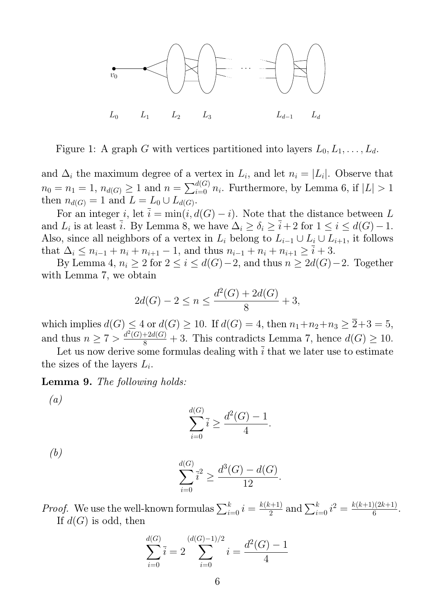

Figure 1: A graph G with vertices partitioned into layers  $L_0, L_1, \ldots, L_d$ .

and  $\Delta_i$  the maximum degree of a vertex in  $L_i$ , and let  $n_i = |L_i|$ . Observe that  $n_0 = n_1 = 1, n_{d(G)} \geq 1$  and  $n = \sum_{i=0}^{d(G)} n_i$ . Furthermore, by Lemma 6, if  $|L| > 1$ then  $n_{d(G)} = 1$  and  $L = L_0 \cup L_{d(G)}$ .

For an integer i, let  $\bar{i} = \min(i, d(G) - i)$ . Note that the distance between L and  $L_i$  is at least  $\overline{i}$ . By Lemma 8, we have  $\Delta_i \ge \delta_i \ge \overline{i}+2$  for  $1 \le i \le d(G)-1$ . Also, since all neighbors of a vertex in  $L_i$  belong to  $L_{i-1} \cup L_i \cup L_{i+1}$ , it follows that  $\Delta_i \leq n_{i-1} + n_i + n_{i+1} - 1$ , and thus  $n_{i-1} + n_i + n_{i+1} \geq \overline{i} + 3$ .

By Lemma 4,  $n_i \geq 2$  for  $2 \leq i \leq d(G)-2$ , and thus  $n \geq 2d(G)-2$ . Together with Lemma 7, we obtain

$$
2d(G) - 2 \le n \le \frac{d^2(G) + 2d(G)}{8} + 3,
$$

which implies  $d(G) \leq 4$  or  $d(G) \geq 10$ . If  $d(G) = 4$ , then  $n_1 + n_2 + n_3 \geq \overline{2} + 3 = 5$ , and thus  $n \geq 7 > \frac{d^2(G) + 2d(G)}{8} + 3$ . This contradicts Lemma 7, hence  $d(G) \geq 10$ .

Let us now derive some formulas dealing with  $\overline{i}$  that we later use to estimate the sizes of the layers  $L_i$ .

Lemma 9. The following holds:

(a)

$$
\sum_{i=0}^{d(G)} \overline{i} \ge \frac{d^2(G) - 1}{4}.
$$

(b)

$$
\sum_{i=0}^{d(G)} \bar{i}^2 \ge \frac{d^3(G) - d(G)}{12}.
$$

*Proof.* We use the well-known formulas  $\sum_{i=0}^{k} i = \frac{k(k+1)}{2}$  $\frac{(k+1)}{2}$  and  $\sum_{i=0}^{k} i^2 = \frac{k(k+1)(2k+1)}{6}$  $\frac{1}{6}$ . If  $d(G)$  is odd, then

$$
\sum_{i=0}^{d(G)} \overline{i} = 2 \sum_{i=0}^{(d(G)-1)/2} i = \frac{d^2(G)-1}{4}
$$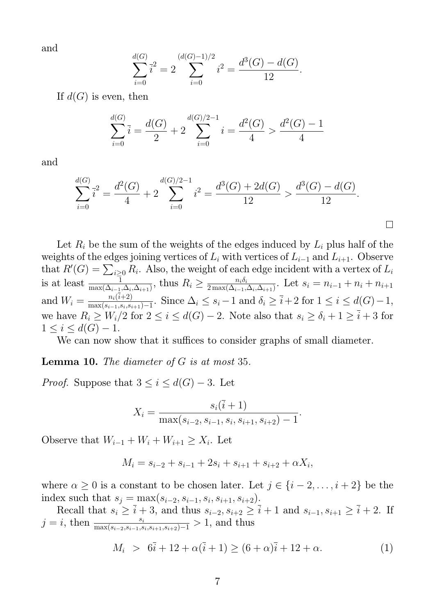and

$$
\sum_{i=0}^{d(G)} \overline{i}^2 = 2 \sum_{i=0}^{(d(G)-1)/2} i^2 = \frac{d^3(G) - d(G)}{12}.
$$

If  $d(G)$  is even, then

$$
\sum_{i=0}^{d(G)} \overline{i} = \frac{d(G)}{2} + 2\sum_{i=0}^{d(G)/2 - 1} i = \frac{d^2(G)}{4} > \frac{d^2(G) - 1}{4}
$$

and

$$
\sum_{i=0}^{d(G)} \overline{i}^2 = \frac{d^2(G)}{4} + 2\sum_{i=0}^{d(G)/2-1} i^2 = \frac{d^3(G) + 2d(G)}{12} > \frac{d^3(G) - d(G)}{12}.
$$

Let  $R_i$  be the sum of the weights of the edges induced by  $L_i$  plus half of the weights of the edges joining vertices of  $L_i$  with vertices of  $L_{i-1}$  and  $L_{i+1}$ . Observe that  $R'(G) = \sum_{i \geq 0} R_i$ . Also, the weight of each edge incident with a vertex of  $L_i$ is at least  $\frac{1}{\max(\Delta_{i-1}, \Delta_i, \Delta_{i+1})}$ , thus  $R_i \geq \frac{n_i \delta_i}{2 \max(\Delta_{i-1}, \Delta_i)}$  $\frac{n_i o_i}{2 \max(\Delta_{i-1},\Delta_i,\Delta_{i+1})}$ . Let  $s_i=n_{i-1}+n_i+n_{i+1}$ and  $W_i = \frac{n_i(i+2)}{\max(s_{i-1}, s_i, s_i)}$  $\frac{n_i(i+2)}{\max(s_{i-1}, s_i, s_{i+1})-1}$ . Since  $\Delta_i \leq s_i-1$  and  $\delta_i \geq \overline{i}+2$  for  $1 \leq i \leq d(G)-1$ , we have  $R_i \geq W_i/2$  for  $2 \leq i \leq d(G) - 2$ . Note also that  $s_i \geq \delta_i + 1 \geq \overline{i} + 3$  for  $1 \leq i \leq d(G) - 1.$ 

We can now show that it suffices to consider graphs of small diameter.

**Lemma 10.** The diameter of  $G$  is at most 35.

*Proof.* Suppose that  $3 \leq i \leq d(G) - 3$ . Let

$$
X_i = \frac{s_i(\overline{i} + 1)}{\max(s_{i-2}, s_{i-1}, s_i, s_{i+1}, s_{i+2}) - 1}.
$$

Observe that  $W_{i-1} + W_i + W_{i+1} \ge X_i$ . Let

$$
M_i = s_{i-2} + s_{i-1} + 2s_i + s_{i+1} + s_{i+2} + \alpha X_i,
$$

where  $\alpha \geq 0$  is a constant to be chosen later. Let  $j \in \{i-2,\ldots,i+2\}$  be the index such that  $s_j = \max(s_{i-2}, s_{i-1}, s_i, s_{i+1}, s_{i+2})$ .

Recall that  $s_i \geq \overline{i} + 3$ , and thus  $s_{i-2}, s_{i+2} \geq \overline{i} + 1$  and  $s_{i-1}, s_{i+1} \geq \overline{i} + 2$ . If  $j = i$ , then  $\frac{s_i}{\max(s_{i-2}, s_{i-1}, s_i, s_{i+1}, s_{i+2})-1} > 1$ , and thus

$$
M_i > 6\bar{i} + 12 + \alpha(\bar{i} + 1) \ge (6 + \alpha)\bar{i} + 12 + \alpha.
$$
 (1)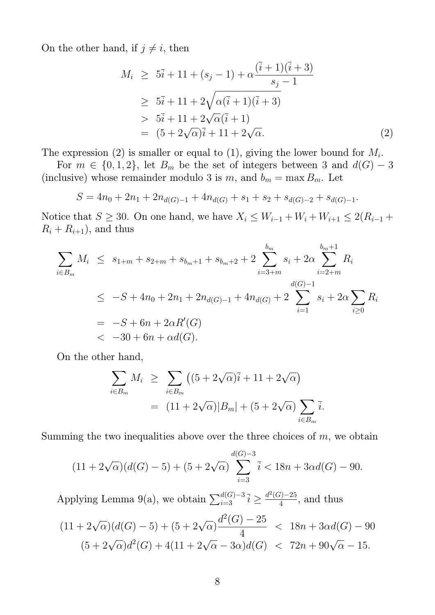On the other hand, if  $j \neq i$ , then

$$
M_i \geq 5\overline{i} + 11 + (s_j - 1) + \alpha \frac{(\overline{i} + 1)(\overline{i} + 3)}{s_j - 1}
$$
  
\n
$$
\geq 5\overline{i} + 11 + 2\sqrt{\alpha(\overline{i} + 1)(\overline{i} + 3)}
$$
  
\n
$$
> 5\overline{i} + 11 + 2\sqrt{\alpha}(\overline{i} + 1)
$$
  
\n
$$
= (5 + 2\sqrt{\alpha})\overline{i} + 11 + 2\sqrt{\alpha}.
$$
 (2)

The expression (2) is smaller or equal to (1), giving the lower bound for  $M_i$ .

For  $m \in \{0, 1, 2\}$ , let  $B_m$  be the set of integers between 3 and  $d(G) - 3$ (inclusive) whose remainder modulo 3 is  $m$ , and  $b_m = \max B_m$ . Let

$$
S = 4n_0 + 2n_1 + 2n_{d(G)-1} + 4n_{d(G)} + s_1 + s_2 + s_{d(G)-2} + s_{d(G)-1}.
$$

Notice that  $S \ge 30$ . On one hand, we have  $X_i \le W_{i-1} + W_i + W_{i+1} \le 2(R_{i-1} +$  $R_i + R_{i+1}$ , and thus

$$
\sum_{i \in B_m} M_i \leq s_{1+m} + s_{2+m} + s_{b_m+1} + s_{b_m+2} + 2 \sum_{i=3+m}^{b_m} s_i + 2\alpha \sum_{i=2+m}^{b_m+1} R_i
$$
\n
$$
\leq -S + 4n_0 + 2n_1 + 2n_{d(G)-1} + 4n_{d(G)} + 2 \sum_{i=1}^{d(G)-1} s_i + 2\alpha \sum_{i \geq 0} R_i
$$
\n
$$
= -S + 6n + 2\alpha R'(G)
$$
\n
$$
< -30 + 6n + \alpha d(G).
$$

On the other hand,

$$
\sum_{i \in B_m} M_i \geq \sum_{i \in B_m} \left( (5 + 2\sqrt{\alpha})\overline{i} + 11 + 2\sqrt{\alpha} \right)
$$
  
= 
$$
(11 + 2\sqrt{\alpha})|B_m| + (5 + 2\sqrt{\alpha}) \sum_{i \in B_m} \overline{i}.
$$

Summing the two inequalities above over the three choices of  $m$ , we obtain

$$
(11 + 2\sqrt{\alpha})(d(G) - 5) + (5 + 2\sqrt{\alpha})\sum_{i=3}^{d(G)-3} \overline{i} < 18n + 3\alpha d(G) - 90.
$$

Applying Lemma 9(a), we obtain  $\sum_{i=3}^{d(G)-3} \overline{i} \geq \frac{d^2(G)-25}{4}$  $\frac{f(-2)}{4}$ , and thus

$$
(11 + 2\sqrt{\alpha})(d(G) - 5) + (5 + 2\sqrt{\alpha})\frac{d^2(G) - 25}{4} < 18n + 3\alpha d(G) - 90
$$
  

$$
(5 + 2\sqrt{\alpha})d^2(G) + 4(11 + 2\sqrt{\alpha} - 3\alpha)d(G) < 72n + 90\sqrt{\alpha} - 15.
$$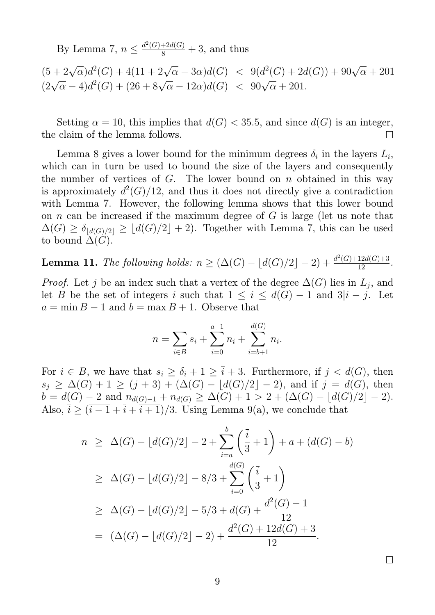By Lemma 7,  $n \leq \frac{d^2(G) + 2d(G)}{8} + 3$ , and thus

 $(5+2\sqrt{\alpha})d^2(G) + 4(11+2\sqrt{\alpha}-3\alpha)d(G) < 9(d^2(G)+2d(G)) + 90\sqrt{\alpha} + 201$  $(2\sqrt{\alpha} - 4)d^2(G) + (26 + 8\sqrt{\alpha} - 12\alpha)d(G) < 90\sqrt{\alpha} + 201.$ 

Setting  $\alpha = 10$ , this implies that  $d(G) < 35.5$ , and since  $d(G)$  is an integer, the claim of the lemma follows.  $\Box$ 

Lemma 8 gives a lower bound for the minimum degrees  $\delta_i$  in the layers  $L_i$ , which can in turn be used to bound the size of the layers and consequently the number of vertices of  $G$ . The lower bound on  $n$  obtained in this way is approximately  $d^2(G)/12$ , and thus it does not directly give a contradiction with Lemma 7. However, the following lemma shows that this lower bound on n can be increased if the maximum degree of  $G$  is large (let us note that  $\Delta(G) \geq \delta_{\lfloor d(G)/2 \rfloor} \geq \lfloor d(G)/2 \rfloor + 2$ . Together with Lemma 7, this can be used to bound  $\Delta(G)$ .

**Lemma 11.** The following holds:  $n \geq (\Delta(G) - \lfloor d(G)/2 \rfloor - 2) + \frac{d^2(G) + 12d(G) + 3}{12}$ .

*Proof.* Let j be an index such that a vertex of the degree  $\Delta(G)$  lies in  $L_j$ , and let B be the set of integers i such that  $1 \leq i \leq d(G) - 1$  and  $3|i - j$ . Let  $a = \min B - 1$  and  $b = \max B + 1$ . Observe that

$$
n = \sum_{i \in B} s_i + \sum_{i=0}^{a-1} n_i + \sum_{i=b+1}^{d(G)} n_i.
$$

For  $i \in B$ , we have that  $s_i \ge \delta_i + 1 \ge \overline{i} + 3$ . Furthermore, if  $j < d(G)$ , then  $s_j \geq \Delta(G) + 1 \geq (\bar{j} + 3) + (\Delta(G) - \lfloor d(G)/2 \rfloor - 2)$ , and if  $j = d(G)$ , then  $b = d(G) - 2$  and  $n_{d(G)-1} + n_{d(G)} \geq \Delta(G) + 1 > 2 + (\Delta(G) - \lfloor d(G)/2 \rfloor - 2).$ Also,  $\overline{i} \geq (\overline{i-1} + \overline{i+1})/3$ . Using Lemma 9(a), we conclude that

$$
n \geq \Delta(G) - \lfloor d(G)/2 \rfloor - 2 + \sum_{i=a}^{b} \left(\frac{\overline{i}}{3} + 1\right) + a + (d(G) - b)
$$
  
\n
$$
\geq \Delta(G) - \lfloor d(G)/2 \rfloor - 8/3 + \sum_{i=0}^{d(G)} \left(\frac{\overline{i}}{3} + 1\right)
$$
  
\n
$$
\geq \Delta(G) - \lfloor d(G)/2 \rfloor - 5/3 + d(G) + \frac{d^2(G) - 1}{12}
$$
  
\n
$$
= (\Delta(G) - \lfloor d(G)/2 \rfloor - 2) + \frac{d^2(G) + 12d(G) + 3}{12}.
$$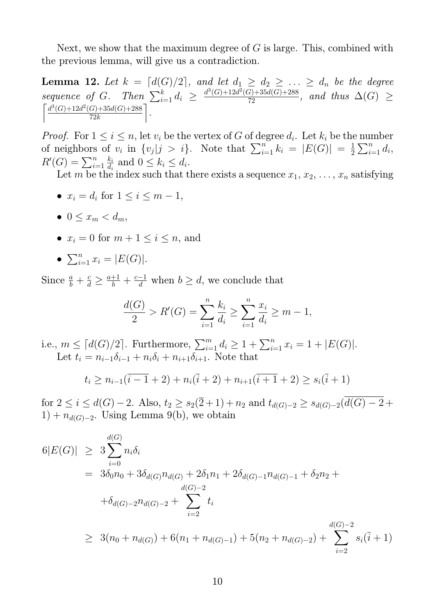Next, we show that the maximum degree of  $G$  is large. This, combined with the previous lemma, will give us a contradiction.

**Lemma 12.** Let  $k = \lceil d(G)/2 \rceil$ , and let  $d_1 \geq d_2 \geq \ldots \geq d_n$  be the degree sequence of G. Then  $\sum_{i=1}^{k} d_i \geq \frac{d^3(G)+12d^2(G)+35d(G)+288}{72}$ , and thus  $\Delta(G) \geq$  $\int d^3(G) + 12d^2(G) + 35d(G) + 288$ 72k m .

*Proof.* For  $1 \leq i \leq n$ , let  $v_i$  be the vertex of G of degree  $d_i$ . Let  $k_i$  be the number of neighbors of  $v_i$  in  $\{v_j | j > i\}$ . Note that  $\sum_{i=1}^n k_i = |E(G)| = \frac{1}{2}$  $\frac{1}{2} \sum_{i=1}^{n} d_i,$  $R'(G) = \sum_{i=1}^n$  $k_i$  $\frac{k_i}{d_i}$  and  $0 \leq k_i \leq d_i$ .

Let m be the index such that there exists a sequence  $x_1, x_2, \ldots, x_n$  satisfying

- $x_i = d_i$  for  $1 \leq i \leq m-1$ ,
- $0 \leq x_m \leq d_m$ ,
- $x_i = 0$  for  $m + 1 \leq i \leq n$ , and
- $\sum_{i=1}^n x_i = |E(G)|$ .

Since  $\frac{a}{b} + \frac{c}{d} \ge \frac{a+1}{b} + \frac{c-1}{d}$  when  $b \ge d$ , we conclude that

$$
\frac{d(G)}{2} > R'(G) = \sum_{i=1}^{n} \frac{k_i}{d_i} \ge \sum_{i=1}^{n} \frac{x_i}{d_i} \ge m - 1,
$$

i.e.,  $m \leq \lceil d(G)/2 \rceil$ . Furthermore,  $\sum_{i=1}^{m} d_i \geq 1 + \sum_{i=1}^{n} x_i = 1 + |E(G)|$ . Let  $t_i = n_{i-1}\delta_{i-1} + n_i\delta_i + n_{i+1}\delta_{i+1}$ . Note that

$$
t_i \ge n_{i-1}(\overline{i-1}+2) + n_i(\overline{i}+2) + n_{i+1}(\overline{i+1}+2) \ge s_i(\overline{i}+1)
$$

for  $2 \le i \le d(G) - 2$ . Also,  $t_2 \ge s_2(\overline{2} + 1) + n_2$  and  $t_{d(G)-2} \ge s_{d(G)-2}(\overline{d(G)-2} +$  $1) + n_{d(G)-2}$ . Using Lemma 9(b), we obtain

$$
6|E(G)| \geq 3\sum_{i=0}^{d(G)} n_i \delta_i
$$
  
=  $3\delta_0 n_0 + 3\delta_{d(G)} n_{d(G)} + 2\delta_1 n_1 + 2\delta_{d(G)-1} n_{d(G)-1} + \delta_2 n_2 +$   
 $+ \delta_{d(G)-2} n_{d(G)-2} + \sum_{i=2}^{d(G)-2} t_i$   
 $\geq 3(n_0 + n_{d(G)}) + 6(n_1 + n_{d(G)-1}) + 5(n_2 + n_{d(G)-2}) + \sum_{i=2}^{d(G)-2} s_i(\overline{i} + 1)$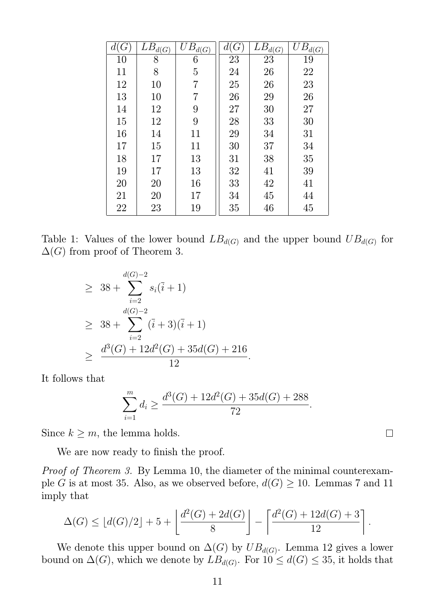| $G\,$ | $\overline{L}B_{d(G)}$ | $UB_{d(G)}$    | d(G) | $LB_{d(G)}$ | $UB_{d(G)}$ |
|-------|------------------------|----------------|------|-------------|-------------|
| 10    | 8                      | 6              | 23   | 23          | 19          |
| 11    | 8                      | $\overline{5}$ | 24   | 26          | 22          |
| 12    | 10                     | 7              | 25   | 26          | 23          |
| 13    | 10                     | 7              | 26   | 29          | 26          |
| 14    | 12                     | 9              | 27   | 30          | 27          |
| 15    | 12                     | 9              | 28   | 33          | 30          |
| 16    | 14                     | 11             | 29   | 34          | 31          |
| 17    | 15                     | 11             | 30   | 37          | 34          |
| 18    | 17                     | 13             | 31   | 38          | 35          |
| 19    | 17                     | 13             | 32   | 41          | 39          |
| 20    | 20                     | 16             | 33   | 42          | 41          |
| 21    | 20                     | 17             | 34   | 45          | 44          |
| 22    | 23                     | 19             | 35   | 46          | 45          |

Table 1: Values of the lower bound  $LB_{d(G)}$  and the upper bound  $UB_{d(G)}$  for  $\Delta(G)$  from proof of Theorem 3.

$$
\geq 38 + \sum_{i=2}^{d(G)-2} s_i(\overline{i} + 1)
$$
  
\n
$$
\geq 38 + \sum_{i=2}^{d(G)-2} (\overline{i} + 3)(\overline{i} + 1)
$$
  
\n
$$
\geq \frac{d^3(G) + 12d^2(G) + 35d(G) + 216}{12}.
$$

It follows that

$$
\sum_{i=1}^{m} d_i \ge \frac{d^3(G) + 12d^2(G) + 35d(G) + 288}{72}.
$$

Since  $k \geq m$ , the lemma holds.

We are now ready to finish the proof.

Proof of Theorem 3. By Lemma 10, the diameter of the minimal counterexample G is at most 35. Also, as we observed before,  $d(G) \ge 10$ . Lemmas 7 and 11 imply that

$$
\Delta(G) \le \lfloor d(G)/2 \rfloor + 5 + \left\lfloor \frac{d^2(G) + 2d(G)}{8} \right\rfloor - \left\lceil \frac{d^2(G) + 12d(G) + 3}{12} \right\rceil.
$$

We denote this upper bound on  $\Delta(G)$  by  $UB_{d(G)}$ . Lemma 12 gives a lower bound on  $\Delta(G)$ , which we denote by  $LB_{d(G)}$ . For  $10 \leq d(G) \leq 35$ , it holds that

 $\Box$